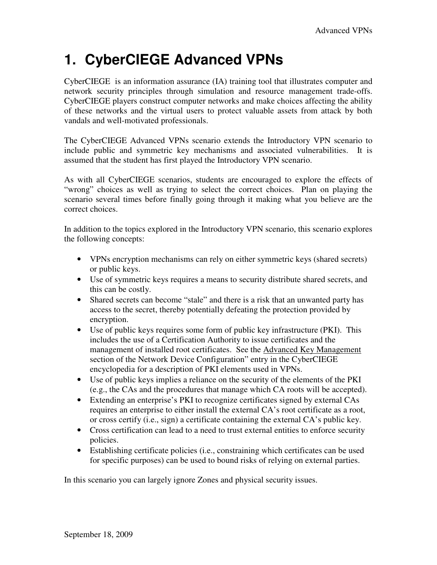# **1. CyberCIEGE Advanced VPNs**

CyberCIEGE is an information assurance (IA) training tool that illustrates computer and network security principles through simulation and resource management trade-offs. CyberCIEGE players construct computer networks and make choices affecting the ability of these networks and the virtual users to protect valuable assets from attack by both vandals and well-motivated professionals.

The CyberCIEGE Advanced VPNs scenario extends the Introductory VPN scenario to include public and symmetric key mechanisms and associated vulnerabilities. It is assumed that the student has first played the Introductory VPN scenario.

As with all CyberCIEGE scenarios, students are encouraged to explore the effects of "wrong" choices as well as trying to select the correct choices. Plan on playing the scenario several times before finally going through it making what you believe are the correct choices.

In addition to the topics explored in the Introductory VPN scenario, this scenario explores the following concepts:

- VPNs encryption mechanisms can rely on either symmetric keys (shared secrets) or public keys.
- Use of symmetric keys requires a means to security distribute shared secrets, and this can be costly.
- Shared secrets can become "stale" and there is a risk that an unwanted party has access to the secret, thereby potentially defeating the protection provided by encryption.
- Use of public keys requires some form of public key infrastructure (PKI). This includes the use of a Certification Authority to issue certificates and the management of installed root certificates. See the Advanced Key Management section of the Network Device Configuration" entry in the CyberCIEGE encyclopedia for a description of PKI elements used in VPNs.
- Use of public keys implies a reliance on the security of the elements of the PKI (e.g., the CAs and the procedures that manage which CA roots will be accepted).
- Extending an enterprise's PKI to recognize certificates signed by external CAs requires an enterprise to either install the external CA's root certificate as a root, or cross certify (i.e., sign) a certificate containing the external CA's public key.
- Cross certification can lead to a need to trust external entities to enforce security policies.
- Establishing certificate policies (i.e., constraining which certificates can be used for specific purposes) can be used to bound risks of relying on external parties.

In this scenario you can largely ignore Zones and physical security issues.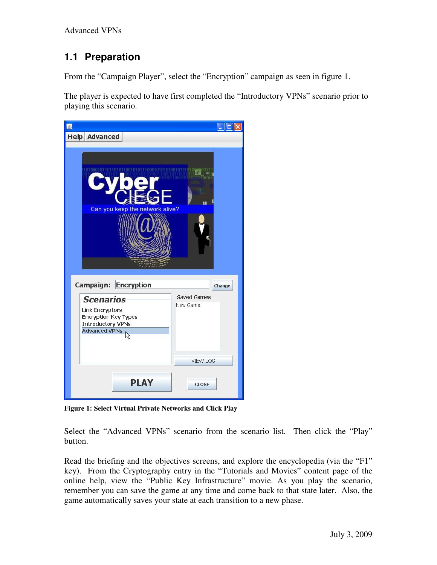## **1.1 Preparation**

From the "Campaign Player", select the "Encryption" campaign as seen in figure 1.

The player is expected to have first completed the "Introductory VPNs" scenario prior to playing this scenario.



**Figure 1: Select Virtual Private Networks and Click Play** 

Select the "Advanced VPNs" scenario from the scenario list. Then click the "Play" button.

Read the briefing and the objectives screens, and explore the encyclopedia (via the "F1" key). From the Cryptography entry in the "Tutorials and Movies" content page of the online help, view the "Public Key Infrastructure" movie. As you play the scenario, remember you can save the game at any time and come back to that state later. Also, the game automatically saves your state at each transition to a new phase.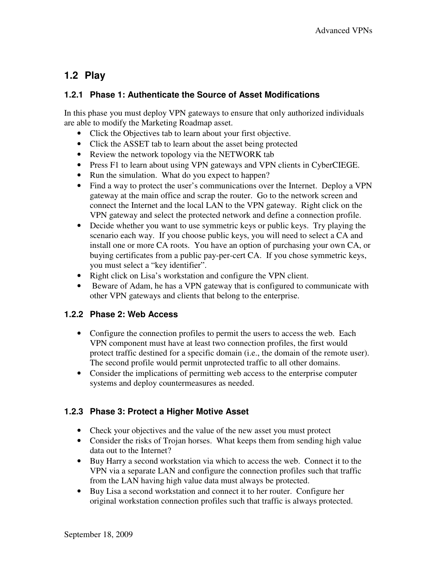## **1.2 Play**

### **1.2.1 Phase 1: Authenticate the Source of Asset Modifications**

In this phase you must deploy VPN gateways to ensure that only authorized individuals are able to modify the Marketing Roadmap asset.

- Click the Objectives tab to learn about your first objective.
- Click the ASSET tab to learn about the asset being protected
- Review the network topology via the NETWORK tab
- Press F1 to learn about using VPN gateways and VPN clients in CyberCIEGE.
- Run the simulation. What do you expect to happen?
- Find a way to protect the user's communications over the Internet. Deploy a VPN gateway at the main office and scrap the router. Go to the network screen and connect the Internet and the local LAN to the VPN gateway. Right click on the VPN gateway and select the protected network and define a connection profile.
- Decide whether you want to use symmetric keys or public keys. Try playing the scenario each way. If you choose public keys, you will need to select a CA and install one or more CA roots. You have an option of purchasing your own CA, or buying certificates from a public pay-per-cert CA. If you chose symmetric keys, you must select a "key identifier".
- Right click on Lisa's workstation and configure the VPN client.
- Beware of Adam, he has a VPN gateway that is configured to communicate with other VPN gateways and clients that belong to the enterprise.

#### **1.2.2 Phase 2: Web Access**

- Configure the connection profiles to permit the users to access the web. Each VPN component must have at least two connection profiles, the first would protect traffic destined for a specific domain (i.e., the domain of the remote user). The second profile would permit unprotected traffic to all other domains.
- Consider the implications of permitting web access to the enterprise computer systems and deploy countermeasures as needed.

### **1.2.3 Phase 3: Protect a Higher Motive Asset**

- Check your objectives and the value of the new asset you must protect
- Consider the risks of Trojan horses. What keeps them from sending high value data out to the Internet?
- Buy Harry a second workstation via which to access the web. Connect it to the VPN via a separate LAN and configure the connection profiles such that traffic from the LAN having high value data must always be protected.
- Buy Lisa a second workstation and connect it to her router. Configure her original workstation connection profiles such that traffic is always protected.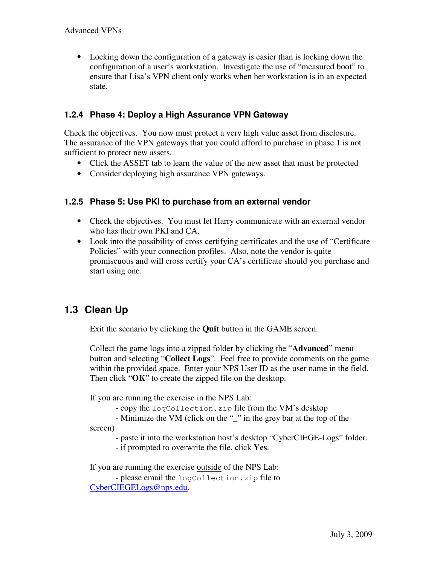• Locking down the configuration of a gateway is easier than is locking down the configuration of a user's workstation. Investigate the use of "measured boot" to ensure that Lisa's VPN client only works when her workstation is in an expected state.

#### **1.2.4 Phase 4: Deploy a High Assurance VPN Gateway**

Check the objectives. You now must protect a very high value asset from disclosure. The assurance of the VPN gateways that you could afford to purchase in phase 1 is not sufficient to protect new assets.

- Click the ASSET tab to learn the value of the new asset that must be protected
- Consider deploying high assurance VPN gateways.

#### **1.2.5 Phase 5: Use PKI to purchase from an external vendor**

- Check the objectives. You must let Harry communicate with an external vendor who has their own PKI and CA.
- Look into the possibility of cross certifying certificates and the use of "Certificate" Policies" with your connection profiles. Also, note the vendor is quite promiscuous and will cross certify your CA's certificate should you purchase and start using one.

## **1.3 Clean Up**

Exit the scenario by clicking the **Quit** button in the GAME screen.

Collect the game logs into a zipped folder by clicking the "**Advanced**" menu button and selecting "**Collect Logs**". Feel free to provide comments on the game within the provided space. Enter your NPS User ID as the user name in the field. Then click "**OK**" to create the zipped file on the desktop.

If you are running the exercise in the NPS Lab:

- copy the logCollection.zip file from the VM's desktop

 - Minimize the VM (click on the "\_" in the grey bar at the top of the screen)

- paste it into the workstation host's desktop "CyberCIEGE-Logs" folder.

- if prompted to overwrite the file, click **Yes**.

If you are running the exercise outside of the NPS Lab:

 - please email the logCollection.zip file to CyberCIEGELogs@nps.edu.